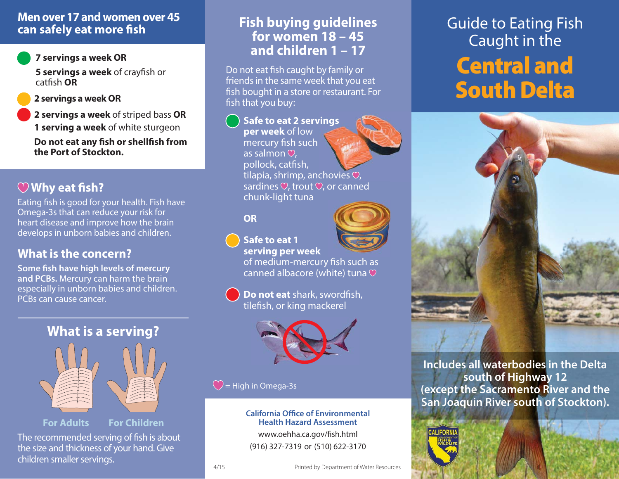### **Men over 17 and women over 45can safely eat more fish**

#### **7 servings a week OR**

**5 servings a week** of crayfish or catfish **OR**

#### **2 servings a week OR**

**2 servings a week** of striped bass **OR 1 serving a week** of white sturgeon

**Do not eat any fish or shellfish from the Port of Stockton.**

# **Why eat fish?**

Eating fish is good for your health. Fish have Omega-3s that can reduce your risk for heart disease and improve how the brain develops in unborn babies and children.

## **What is the concern?**

**Some fish have high levels of mercury and PCBs.** Mercury can harm the brain especially in unborn babies and children. PCBs can cause cancer.

**What is a serving?**

## **Fish buying guidelines for women 18 – 45 and children 1 – 17**

Do not eat fish caught by family or friends in the same week that you eat fish bought in a store or restaurant. For fish that you buy:

#### **Safe to eat 2 servings vings**

**per week** of low mercury fish such as salmon  $\heartsuit$ . pollock, catfish, tilapia, shrimp, anchovies  $\heartsuit$ , sardines  $\heartsuit$ , trout  $\heartsuit$ , or canned chunk-light tuna

**OR**



of medium-mercury fish such as canned albacore (white) tuna

**Do not eat** shark, swordfish, tilefish, or king mackerel



### $\bigcirc$  = High in Omega-3s

4/15

**California Office of Environmental Health Hazard Assessment**www.oehha.ca.gov/fish.html (916) 327-7319 or (510) 622-3170

# Guide to Eating Fish Caught in the **Central and South Delta**



**Includes all waterbodies in the Delta south of Highway 12 (except the Sacramento River and the San Joaquin River south of Stockton).**



**For Adults For Children**

The recommended serving of fish is about the size and thickness of your hand. Give children smaller servings.